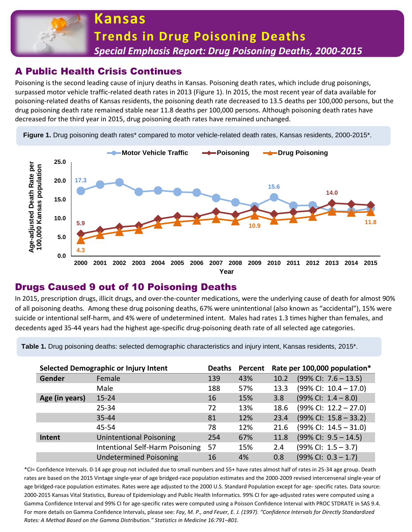

# A Public Health Crisis Continues

Poisoning is the second leading cause of injury deaths in Kansas. Poisoning death rates, which include drug poisonings, surpassed motor vehicle traffic-related death rates in 2013 (Figure 1). In 2015, the most recent year of data available for poisoning-related deaths of Kansas residents, the poisoning death rate decreased to 13.5 deaths per 100,000 persons, but the drug poisoning death rate remained stable near 11.8 deaths per 100,000 persons. Although poisoning death rates have decreased for the third year in 2015, drug poisoning death rates have remained unchanged.

Figure 1. Drug poisoning death rates<sup>\*</sup> compared to motor vehicle-related death rates, Kansas residents, 2000-2015<sup>\*</sup>.



### Drugs Caused 9 out of 10 Poisoning Deaths

In 2015, prescription drugs, illicit drugs, and over-the-counter medications, were the underlying cause of death for almost 90% of all poisoning deaths. Among these drug poisoning deaths, 67% were unintentional (also known as "accidental"), 15% were suicide or intentional self-harm, and 4% were of undetermined intent. Males had rates 1.3 times higher than females, and decedents aged 35-44 years had the highest age-specific drug-poisoning death rate of all selected age categories.

**Table 1.** Drug poisoning deaths: selected demographic characteristics and injury intent, Kansas residents, 2015\*.

| Selected Demographic or Injury Intent |                                 | <b>Deaths</b> | Percent | Rate per 100,000 population* |                                 |
|---------------------------------------|---------------------------------|---------------|---------|------------------------------|---------------------------------|
| Gender                                | Female                          | 139           | 43%     | 10.2                         | $(99\%$ Cl: 7.6 - 13.5)         |
|                                       | Male                            | 188           | 57%     | 13.3                         | $(99\%$ CI: $10.4 - 17.0)$      |
| Age (in years)                        | $15 - 24$                       | 16            | 15%     | 3.8                          | $(99\%$ CI: $1.4 - 8.0)$        |
|                                       | $25 - 34$                       | 72            | 13%     | 18.6                         | $(99\%$ CI: $12.2 - 27.0)$      |
|                                       | $35 - 44$                       | 81            | 12%     | 23.4                         | $(99\%$ CI: $15.8 - 33.2)$      |
|                                       | 45-54                           | 78            | 12%     | 21.6                         | $(99\%$ CI: $14.5 - 31.0)$      |
| Intent                                | <b>Unintentional Poisoning</b>  | 254           | 67%     | 11.8                         | $(99\%$ CI: $9.5 - 14.5)$       |
|                                       | Intentional Self-Harm Poisoning | 57            | 15%     | 2.4                          | $(99\%$ CI: $1.5 - 3.7)$        |
|                                       | <b>Undetermined Poisoning</b>   | 16            | 4%      | 0.8                          | $(99\% \text{ Cl: } 0.3 - 1.7)$ |

\*CI= Confidence Intervals. 0-14 age group not included due to small numbers and 55+ have rates almost half of rates in 25-34 age group. Death rates are based on the 2015 Vintage single-year of age bridged-race population estimates and the 2000-2009 revised intercensenal single-year of age bridged-race population estimates. Rates were age adjusted to the 2000 U.S. Standard Population except for age- specific rates. Data source: 2000-2015 Kansas Vital Statistics, Bureau of Epidemiology and Public Health Informatics. 99% CI for age-adjusted rates were computed using a Gamma Confidence Interval and 99% CI for age-specific rates were computed using a Poisson Confidence Interval with PROC STDRATE in SAS 9.4. For more details on Gamma Confidence Intervals, please see: *Fay, M. P., and Feuer, E. J. (1997). "Confidence Intervals for Directly Standardized Rates: A Method Based on the Gamma Distribution." Statistics in Medicine 16:791–801.*